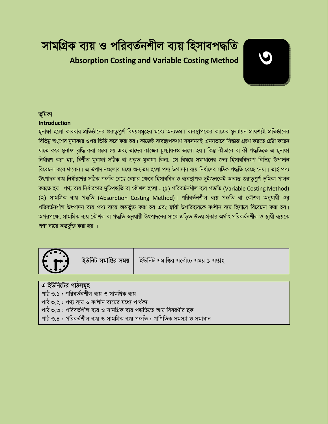# সামগ্ৰিক ব্যয় ও পরিবর্তনশীল ব্যয় হিসাবপদ্ধতি **Absorption Costing and Variable Costing Method**

# ভূমিকা

#### **Introduction**

মুনাফা হলো কারবার প্রতিষ্ঠানের গুরুতুপূর্ণ বিষয়সমূহের মধ্যে অন্যতম। ব্যবস্থাপকের কাজের মূল্যায়ন প্রায়শঃই প্রতিষ্ঠানের বিভিন্ন অংশের মুনাফার ওপর ভিত্তি করে করা হয়। কাজেই ব্যবস্থাপকগণ সবসময়ই এমনভাবে সিদ্ধান্ত গ্রহণ করতে চেষ্টা করেন যাতে করে মুনাফা বৃদ্ধি করা সম্ভব হয় এবং তাদের কাজের মূল্যায়নও ভালো হয়। কিন্তু কীভাবে বা কী পদ্ধতিতে এ মুনাফা নিৰ্ধাৱণ করা হয়, নির্ণীত মুনাফা সঠিক বা প্রকৃত মুনাফা কিনা, সে বিষয়ে সমাধানের জন্য হিসাববিদগণ বিভিন্ন উপাদান বিবেচনা করে থাকেন। এ উপাদানগুলোর মধ্যে অন্যতম হলো পণ্য উপাদান ব্যয় নির্ধাণের সঠিক পদ্ধতি বেছে নেয়া। তাই পণ্য উৎপাদন ব্যয় নির্ধারণের সঠিক পদ্ধতি বেছে নেয়ার ক্ষেত্রে হিসাববিদ ও ব্যবস্থাপক দুইজনকেই অত্যন্ত গুরুতুপূর্ণ ভূমিকা পালন করতে হয়। পণ্য ব্যয় নির্ধারণের দুটিপদ্ধতি বা কৌশল হলো : (১) পরিবর্তনশীল ব্যয় পদ্ধতি (Variable Costing Method) (২) সামগ্ৰিক ব্যয় পদ্ধতি (Absorption Costing Method) । পরিবর্তনশীল ব্যয় পদ্ধতি বা কৌশল অনুযায়ী শুধু পরিবর্তনশীল উৎপাদন ব্যয় পণ্য ব্যয়ে অন্তর্ভুক্ত করা হয় এবং স্থায়ী উপরিব্যয়কে কালীন ব্যয় হিসাবে বিবেচনা করা হয়। অপরপক্ষে, সামগ্রিক ব্যয় কৌশল বা পদ্ধতি অনুযায়ী উৎপাদনের সাথে জড়িত উভয় প্রকার অর্থাৎ পরিবর্তনশীল ও স্থায়ী ব্যয়কে পণ্য ব্যয়ে অন্তর্ভুক্ত করা হয় ।



ইউনিট সমাপ্তির সময়

ইউনিট সমাপ্তির সর্বোচ্চ সময় ১ সপ্তাহ

### এ ইউনিটের পাঠসমূহ

পাঠ ৩.১ : পরিবর্তনশীল ব্যয় ও সামগ্রিক ব্যয়

পাঠ ৩.২ : পণ্য ব্যয় ও কালীন ব্যয়ের মধ্যে পার্থক্য

পাঠ ৩.৩ : পরিবর্তশীল ব্যয় ও সামগ্রিক ব্যয় পদ্ধতিতে আয় বিবরণীর ছক

পাঠ ৩.৪ : পরিবর্তশীল ব্যয় ও সামগ্রিক ব্যয় পদ্ধতি : গাণিতিক সমস্যা ও সমাধান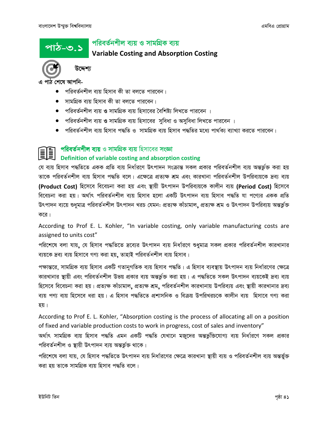পাঠ-৩.১

# পরিবর্তনশীল ব্যয় ও সামগ্রিক ব্যয়

# **Variable Costing and Absorption Costing**



উদ্দেশ্য

এ পাঠ শেষে আপনি-

- পরিবর্তনশীল ব্যয় হিসাব কী তা বলতে পারবেন।
- সামগ্রিক ব্যয় হিসাব কী তা বলতে পারবেন।
- পরিবর্তনশীল ব্যয় ও সামগ্রিক ব্যয় হিসাবের বৈশিষ্ট্য লিখতে পারবেন ।
- পরিবর্তনশীল ব্যয় ও সামগ্রিক ব্যয় হিসাবের সুবিধা ও অসুবিধা লিখতে পারবেন ।
- পরিবর্তনশীল ব্যয় হিসাব পদ্ধতি ও সামগ্রিক ব্যয় হিসাব পদ্ধতির মধ্যে পার্থক্য ব্যাখ্যা করতে পারবেন।

### পরিবর্তনশীল ব্যয় ও সামগ্রিক ব্যয় হিসাবের সংজ্ঞা **II**

# Definition of variable costing and absorption costing

যে ব্যয় হিসাব পদ্ধতিতে একক প্রতি ব্যয় নির্ধারণে উৎপাদন সংক্রান্ত সকল প্রকার পরিবর্তনশীল ব্যয় অন্তর্ভুক্ত করা হয় তাকে পরিবর্তনশীল ব্যয় হিসাব পদ্ধতি বলে। এক্ষেত্রে প্রত্যক্ষ শ্রম এবং কারখানা পরিবর্তনশীল উপরিব্যয়কে দ্রব্য ব্যয় (Product Cost) হিসেবে বিবেচনা করা হয় এবং স্থায়ী উৎপাদন উপরিব্যয়কে কালীন ব্যয় (Period Cost) হিসেবে বিবেচনা করা হয়। অর্থাৎ পরিবর্তনশীল ব্যয় হিসাব হলো একটি উৎপাদন ব্যয় হিসাব পদ্ধতি যা পণ্যের একক প্রতি উৎপাদন ব্যয়ে শুধুমাত্র পরিবর্তনশীল উৎপাদন খরচ যেমন: প্রত্যক্ষ কাঁচামাল, প্রত্যক্ষ শ্রম ও উৎপাদন উপরিব্যয় অন্তর্ভুক্ত করে।

According to Prof E. L. Kohler, "In variable costing, only variable manufacturing costs are assigned to units cost"

পরিশেষে বলা যায়, যে হিসাব পদ্ধতিতে দ্রব্যের উৎপাদন ব্যয় নির্ধারণে শুধুমাত্র সকল প্রকার পরিবর্তনশীল কারখানার ব্যয়কে দ্রব্য ব্যয় হিসাবে গণ্য করা হয়, তাহাই পরিবর্তনশীল ব্যয় হিসাব।

পক্ষান্তরে, সামগ্রিক ব্যয় হিসাব একটি গতানুগতিক ব্যয় হিসাব পদ্ধতি। এ হিসাব ব্যবস্থায় উৎপাদন ব্যয় নির্ধারণের ক্ষেত্রে কারখানার স্থায়ী এবং পরিবর্তনশীল উভয় প্রকার ব্যয় অন্তর্ভুক্ত করা হয়। এ পদ্ধতিতে সকল উৎপাদন ব্যয়কেই দ্রব্য ব্যয় হিসেবে বিবেচনা করা হয়। প্রত্যক্ষ কাঁচামাল, প্রত্যক্ষ শ্রম, পরিবর্তনশীল কারখানায় উপরিব্যয় এবং স্থায়ী কারখানার দ্রব্য ব্যয় পণ্য ব্যয় হিসেবে ধরা হয়। এ হিসাব পদ্ধতিতে প্রশাসনিক ও বিক্রয় উপরিখরচকে কালীন ব্যয় হিসাবে গণ্য করা হয়।

According to Prof E. L. Kohler, "Absorption costing is the process of allocating all on a position of fixed and variable production costs to work in progress, cost of sales and inventory"

অৰ্থাৎ সামগ্ৰিক ব্যয় হিসাব পদ্ধতি এমন একটি পদ্ধতি যেখানে মজুদের অন্তর্ভুক্তিযোগ্য ব্যয় নির্ধারণে সকল প্রকার পরিবর্তনশীল ও স্থায়ী উৎপাদন ব্যয় অন্তর্ভুক্ত থাকে।

পরিশেষে বলা যায়, যে হিসাব পদ্ধতিতে উৎপাদন ব্যয় নির্ধারণের ক্ষেত্রে কারখানা স্থায়ী ব্যয় ও পরিবর্তনশীল ব্যয় অন্তর্ভুক্ত করা হয় তাকে সামগ্রিক ব্যয় হিসাব পদ্ধতি বলে।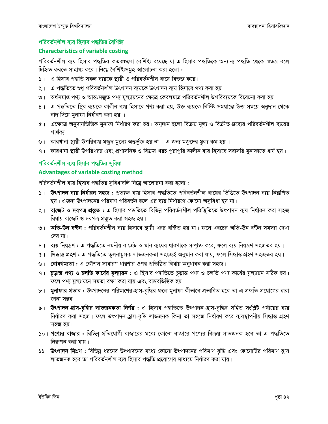# পরিবর্তনশীল ব্যয় হিসাব পদ্ধতির বৈশিষ্ট্য

# **Characteristics of variable costing**

পরিবর্তনশীল ব্যয় হিসাব পদ্ধতির কতকগুলো বৈশিষ্ট্য রয়েছে যা এ হিসাব পদ্ধতিকে অন্যান্য পদ্ধতি থেকে স্বতন্ত্র বলে চিহ্নিত করতে সাহায্য করে। নিম্নে বৈশিষ্ট্যসমূহ আলোচনা করা হলো :

- ১। এ হিসাব পদ্ধতি সকল ব্যয়কে স্থায়ী ও পরিবর্তনশীল ব্যয়ে বিভক্ত করে।
- ২। এ পদ্ধতিতে শুধু পরিবর্তনশীল উৎপাদন ব্যয়কে উৎপাদন ব্যয় হিসাবে গণ্য করা হয়।
- ৩। অর্ধসমাপ্ত পণ্য ও আন্ত:মজুত পণ্য মূল্যায়নের ক্ষেত্রে কেবলমাত্র পরিবর্তনশীল উপরিব্যয়কে বিবেচনা করা হয়।
- ৪। এ পদ্ধতিতে স্থির ব্যয়কে কালীন ব্যয় হিসাবে গণ্য করা হয়, উক্ত ব্যয়কে নির্দিষ্ট সময়ান্তে উক্ত সময়ে অনুদান থেকে বাদ দিয়ে মুনাফা নির্ধারণ করা হয় ।
- ৫। এক্ষেত্রে অনুদানভিত্তিক মুনাফা নির্ধারণ করা হয়। অনুদান হলো বিক্রয় মূল্য ও বিক্রীত দ্রব্যের পরিবর্তনশীল ব্যয়ের পাৰ্থক্য।
- ৬। কারখানা স্থায়ী উপরিব্যয় মজুদ মূল্যে অন্তর্ভুক্ত হয় না । এ জন্য মজুদের মূল্য কম হয় ।
- ৭। কারখানা স্থায়ী উপরিখরচ এবং প্রশাসনিক ও বিক্রয় খরচ পুরাপুরি কালীন ব্যয় হিসাবে সরাসরি মুনাফাতে ধার্য হয়।

# পরিবর্তনশীল ব্যয় হিসাব পদ্ধতির সুবিধা

# **Advantages of variable costing method**

পরিবর্তনশীল ব্যয় হিসাব পদ্ধতির সুবিধাবলি নিম্নে আলোচনা করা হলো :

- ১। উৎপাদন ব্যয় নির্ধারন সহজ : প্রত্যক্ষ ব্যয় হিসাব পদ্ধতিতে পরিবর্তনশীল ব্যয়ের ভিত্তিতে উৎপাদন ব্যয় নিরূপিত হয়। এজন্য উৎপাদনের পরিমাণ পরিবর্তন হলে এর ব্যয় নির্ধারণে কোনো অসুবিধা হয় না।
- ২। বাজেট ও দরপত্র প্রস্তুত : এ হিসাব পদ্ধতিতে বিভিন্ন পরিবর্তনশীল পরিস্থিতিতে উৎপাদন ব্যয় নির্ধারন করা সহজ বিধায় বাজেট ও দরপত্র প্রস্তুত করা সহজ হয়।
- ৩। **অতি-উন বণ্টন :** পরিবর্তনশীল ব্যয় হিসাবে স্থায়ী খরচ বন্টিত হয় না। ফলে খরচের অতি-উন বণ্টন সমস্যা দেখা দেয় না।
- ৪। ব্যয় নিয়ন্ত্রণ : এ পদ্ধতিতে নমনীয় বাজেট ও মান ব্যয়ের ধারণাকে সম্পৃক্ত করে, ফলে ব্যয় নিয়ন্ত্রণ সহজতর হয়।
- ৫। সিদ্ধান্ত গ্রহণ : এ পদ্ধতিতে তুলনামূলক লাভজনকতা সহজেই অনুমান করা যায়, ফলে সিদ্ধান্ত গ্রহণ সহজতর হয়।
- ৬। বোধগম্যতা : এ কৌশল সাধারণ ধারণার ওপর প্রতিষ্ঠিত বিধায় অনুধাবন করা সহজ।
- ৭। চূড়ান্ত পণ্য ও চলতি কার্যের মূল্যায়ন : এ হিসাব পদ্ধতিতে চূড়ান্ত পণ্য ও চলতি পণ্য কার্যের মূল্যায়ন সঠিক হয়। ফলে পণ্য মূল্যায়নে সমতা রক্ষা করা যায় এবং বাস্তবভিত্তিক হয়।
- ৮। মুনাফার প্রভাব : উৎপাদনের পরিমাণের হাস-বৃদ্ধির ফলে মুনাফা কীভাবে প্রভাবিত হবে তা এ প্রদ্ধতি প্রয়োগের দ্বারা জানা সম্ভব।
- ৯। উৎপাদন হাস-বৃদ্ধির লাভজনকতা নির্ণয় : এ হিসাব পদ্ধতিতে উৎপাদন হাস-বৃদ্ধির সহিত সংশ্লিষ্ট পর্যায়ের ব্যয় নিৰ্ধাৱণ করা সহজ। ফলে উৎপাদন হ্রাস-বৃদ্ধি লাভজনক কিনা তা সহজে নিৰ্ধাৱণ করে ব্যবস্থাপনীয় সিদ্ধান্ত গ্রহণ সহজ হয়।
- ১০। পণ্যের বাজার : বিভিন্ন প্রতিযোগী বাজারের মধ্যে কোনো বাজারে পণ্যের বিক্রয় লাভজনক হবে তা এ পদ্ধতিতে নিরুপন করা যায়।
- ১১। উৎপাদন মিশ্রণ : বিভিন্ন ধরনের উৎপাদনের মধ্যে কোনো উৎপাদনের পরিমাণ বৃদ্ধি এবং কোনোটির পরিমাণ হ্রাস লাভজনক হবে তা পরিবর্তনশীল ব্যয় হিসাব পদ্ধতি প্রয়োগের মাধ্যমে নির্ধারণ করা যায়।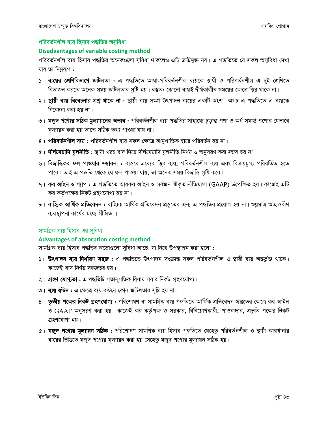# পরিবর্তনশীল ব্যয় হিসাব পদ্ধতির অসুবিধা

### **Disadvantages of variable costing method**

পরিবর্তনশীল ব্যয় হিসাব পদ্ধতির অনেকগুলো সুবিধা থাকলেও এটি ক্রটিমুক্ত নয়। এ পদ্ধতিতে যে সকল অসুবিধা দেখা যায় তা নিম্নরূপ :

- ১। ব্যয়ের শ্রেণিবিভাগে জটিলতা : এ পদ্ধতিতে আধা-পরিবর্তনশীল ব্যয়কে স্থায়ী ও পরিবর্তনশীল এ দুই শ্রেণিতে বিভাজন করতে অনেক সময় জটিলতার সৃষ্টি হয়। বস্তুত: কোনো ব্যয়ই দীর্ঘকালীন সময়ের ক্ষেত্রে স্থির থাকে না।
- ২। **স্থায়ী ব্যয় বিবেচনার প্রশ্ন থাকে না :** স্থায়ী ব্যয় সমগ্র উৎপাদন ব্যয়ের একটি অংশ। অথচ এ পদ্ধতিতে এ ব্যয়কে বিবেচনা করা হয় না।
- ৩। মজুদ পণ্যের সঠিক মূল্যায়নের অভাব : পরিবর্তনশীল ব্যয় পদ্ধতির সাহায্যে চূড়ান্ত পণ্য ও অর্ধ সমাপ্ত পণ্যের যেভাবে মল্যায়ন করা হয় তাতে সঠিক তথ্য পাওয়া যায় না।
- ৪। পরিবর্তনশীল ব্যয় : পরিবর্তনশীল ব্যয় সকল ক্ষেত্রে আনুপাতিক হারে পরিবর্তন হয় না।
- $\alpha$ । **দীর্ঘমেয়াদি মূলনীতি :** স্থায়ী খরচ বাদ দিয়ে দীর্ঘমেয়াদি মূলনীতি নির্ণয় ও অনুসরণ করা সম্ভব হয় না ।
- ৬। বিভ্রান্তিকর ফল পাওয়ার সম্ভাবনা : বাস্তবে দ্রব্যের স্থির ব্যয়, পরিবর্তনশীল ব্যয় এবং বিক্রয়মূল্য পরিবর্তিত হতে পারে। তাই এ পদ্ধতি থেকে যে ফল পাওয়া যায়, তা অনেক সময় বিভ্রান্তি সৃষ্টি করে।
- ৭। **কর আইন ও গ্যাপ :** এ পদ্ধতিতে আয়কর আইন ও সর্বজন স্বীকৃত নীতিমালা (GAAP) উপেক্ষিত হয়। কাজেই এটি কর কর্তৃপক্ষের নিকট গ্রহণযোগ্য হয় না।
- ৮। **বাহ্যিক আর্থিক প্রতিবেদন :** বাহ্যিক আর্থিক প্রতিবেদন প্রস্তুতের জন্য এ পদ্ধতির প্রয়োগ হয় না। শুধুমাত্র অভ্যন্তরীণ ব্যবস্থাপনা কাৰ্যের মধ্যে সীমিত ।

### সামগ্রিক ব্যয় হিসাব এর সুবিধা

### Advantages of absorption costing method

সামগ্রিক ব্যয় হিসাব পদ্ধতির কতোগুলো সুবিধা আছে, যা নিম্নে উপস্থাপন করা হলো :

- ১। **উৎপাদন ব্যয় নির্ধারণ সহজ :** এ পদ্ধতিতে উৎপাদন সংক্রান্ত সকল পরিবর্তনশীল ও স্থায়ী ব্যয় অন্তর্ভুক্ত থাকে। কাজেই ব্যয় নির্ণয় সহজতর হয়।
- ২। **গ্রহণ যোগ্যতা** : এ পদ্ধতিটি গতানুগতিক বিধায় সবার নিকট গ্রহণযোগ্য।
- ৩। ব্যয় বণ্টন : এ ক্ষেত্রে ব্যয় বণ্টনে কোন জটিলতার সৃষ্টি হয় না।
- ৪। **তৃতীয় পক্ষের নিকট গ্রহণযোগ্য :** পরিশোষণ বা সামগ্রিক ব্যয় পদ্ধতিতে আর্থিক প্রতিবেদন প্রস্তুতের ক্ষেত্রে কর আইন ও GAAP অনুসরণ করা হয়। কাজেই কর কর্তৃপক্ষ ও সরকার, বিনিয়োগকারী, পাওনাদার, প্রভৃতি পক্ষের নিকট গ্রহণযোগ্য হয়।
- ৫। **মজুদ পণ্যের মূল্যায়ণ সঠিক** : পরিশোষণ সামগ্রিক ব্যয় হিসাব পদ্ধতিতে যেহেতু পরিবর্তনশীল ও স্থায়ী কারখানার ব্যয়ের ভিত্তিতে মজুদ পণ্যের মূল্যায়ন করা হয় সেহেতু মজুদ পণ্যের মূল্যায়ন সঠিক হয়।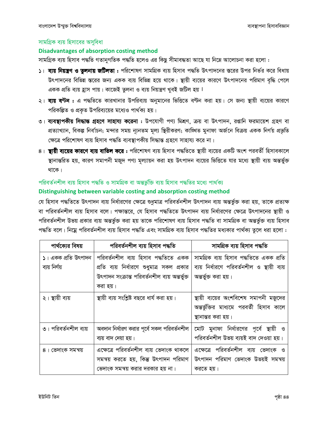# সামগ্রিক ব্যয় হিসাবের অসবিধা

## Disadvantages of absorption costing method

সামগ্রিক ব্যয় হিসাব পদ্ধতি গতানুগতিক পদ্ধতি হলেও এর কিছু সীমাবদ্ধতা আছে যা নিম্নে আলোচনা করা হলো :

- ১। ব্যয় নিয়ন্ত্রণ ও তুলনায় জটিলতা : পরিশোষণ সামগ্রিক ব্যয় হিসাব পদ্ধতি উৎপাদনের স্তরের উপর নির্ভর করে বিধায় উৎপাদনের বিভিন্ন স্তরের জন্য একক ব্যয় বিভিন্ন হয়ে থাকে। স্থায়ী ব্যয়ের কারণে উৎপাদনের পরিমাণ বৃদ্ধি পেলে একক প্রতি ব্যয় হ্রাস পায়। কাজেই তুলনা ও ব্যয় নিয়ন্ত্রণ খুবই জটিল হয়।
- ২। ব্যয় বণ্টন : এ পদ্ধতিতে কারখানার উপরিব্যয় অনুমানের ভিত্তিতে বণ্টন করা হয়। সে জন্য স্থায়ী ব্যয়ের কারণে পরিকল্পিত ও প্রকৃত উপরিব্যয়ের মধ্যেও পার্থক্য হয়।
- ৩। ব্যবস্থাপকীয় সিদ্ধান্ত গ্রহণে সাহায্য করেনা : উপযোগী পণ্য মিশ্রণ, ক্রয় বা উৎপাদন, রপ্তানি ফরমায়েশ গ্রহণ বা প্রত্যাখ্যান, বিকল্প নির্বাচন; মন্দার সময় ন্যূনতম মূল্য স্থিরীকরণ; কাজ্ঞিত মুনাফা অর্জনে বিক্রয় একক নির্ণয় প্রভূতি ক্ষেত্রে পরিশোষণ ব্যয় হিসাব পদ্ধতি ব্যবস্থাপকীয় সিদ্ধান্ত গ্রহণে সাহায্য করে না।
- ৪। **স্থায়ী ব্যয়ের কারণে ব্যয় বাতিল করে:** পরিশোষণ ব্যয় হিসাব পদ্ধতিতে স্থায়ী ব্যয়ের একটি অংশ পরবর্তী হিসাবকালে স্থানান্তরিত হয়, কারণ সমাপনী মজুদ পণ্য মূল্যায়ন করা হয় উৎপাদন ব্যয়ের ভিত্তিতে যার মধ্যে স্থায়ী ব্যয় অন্তর্ভুক্ত থাকে।

# পরিবর্তনশীল ব্যয় হিসাব পদ্ধতি ও সামগ্রিক বা অন্তর্ভুক্তি ব্যয় হিসাব পদ্ধতির মধ্যে পার্থক্য Distinguishing between variable costing and absorption costing method

যে হিসাব পদ্ধতিতে উৎপাদন ব্যয় নির্ধারণের ক্ষেত্রে শুধুমাত্র পরিবর্তনশীল উৎপাদন ব্যয় অন্তর্ভুক্ত করা হয়, তাকে প্রত্যক্ষ বা পরিবর্তনশীল ব্যয় হিসাব বলে। পক্ষান্তরে, যে হিসাব পদ্ধতিতে উৎপাদন ব্যয় নির্ধারণের ক্ষেত্রে উৎপাদনের স্থায়ী ও পরিবর্তনশীল উভয় প্রকার ব্যয় অন্তর্ভুক্ত করা হয় তাকে পরিশোষণ ব্যয় হিসাব পদ্ধতি বা সামগ্রিক বা অন্তর্ভুক্ত ব্যয় হিসাব পদ্ধতি বলে। নিম্নে পরিবর্তনশীল ব্যয় হিসাব পদ্ধতি এবং সামগ্রিক ব্যয় হিসাব পদ্ধতির মধ্যকার পার্থক্য তুলে ধরা হলো :

| পার্থক্যের বিষয়     | পরিবর্তনশীল ব্যয় হিসাব পদ্ধতি                 | সামগ্ৰিক ব্যয় হিসাব পদ্ধতি                 |
|----------------------|------------------------------------------------|---------------------------------------------|
| ১। একক প্ৰতি উৎপাদন  | পরিবর্তনশীল ব্যয় হিসাব পদ্ধতিতে একক           | সামগ্ৰিক ব্যয় হিসাব পদ্ধতিতে একক প্ৰতি     |
| ব্যয় নিৰ্ণয়        | প্রতি ব্যয় নির্ধারণে শুধুমাত্র সকল প্রকার     | ব্যয় নির্ধারণে পরিবর্তনশীল ও স্থায়ী ব্যয় |
|                      | উৎপাদন সংক্রান্ত পরিবর্তনশীল ব্যয় অন্তর্ভুক্ত | অন্তৰ্ভুক্ত করা হয়।                        |
|                      | করা হয়।                                       |                                             |
| ২। স্থায়ী ব্যয়     | স্থায়ী ব্যয় সংশ্লিষ্ট বছরে ধার্য করা হয়।    | স্থায়ী ব্যয়ের অংশবিশেষ সমাপনী মজুদের      |
|                      |                                                | অন্তর্ভুক্তির মাধ্যমে পরবর্তী হিসাব কালে    |
|                      |                                                | স্থানান্তর করা হয়।                         |
| ৩। পরিবর্তনশীল ব্যয় | অবদান নির্ধারণ করার পূর্বে সকল পরিবর্তনশীল     | মোট মুনাফা নির্ধারণের পূর্বে স্থায়ী ও      |
|                      | ব্যয় বাদ দেয়া হয়।                           | পরিবর্তনশীল উভয় ব্যয়ই বাদ দেওয়া হয়।     |
| ৪। ভেদাংক সমন্বয়    | এক্ষেত্রে পরিবর্তনশীল ব্যয় ভেদাংক থাকলে       | এক্ষেত্রে পরিবর্তনশীল ব্যয় ভেদাংক ও        |
|                      | সমন্বয় করতে হয়, কিন্তু উৎপাদন পরিমাণ         | উৎপাদন পরিমাণ ভেদাংক উভয়ই সমন্বয়          |
|                      | ভেদাংক সমন্বয় করার দরকার হয় না।              | করতে হয়।                                   |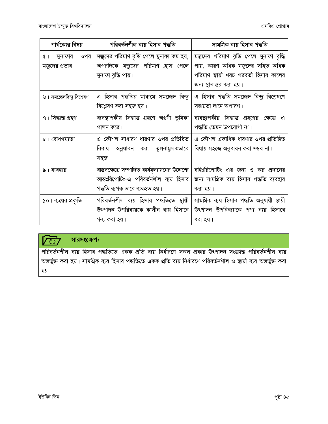| পার্থক্যের বিষয়                                | পরিবর্তনশীল ব্যয় হিসাব পদ্ধতি                                                                                                 | সামগ্ৰিক ব্যয় হিসাব পদ্ধতি                                                                                                                       |
|-------------------------------------------------|--------------------------------------------------------------------------------------------------------------------------------|---------------------------------------------------------------------------------------------------------------------------------------------------|
| ওপর<br>মুনাফার<br>$($ $\theta$<br>মজুদের প্রভাব | মজুদের পরিমাণ বৃদ্ধি পেলে মুনাফা কম হয়,<br>অপরদিকে মজুদের পরিমাণ হ্রাস পেলে<br>মুনাফা বৃদ্ধি পায়।                            | মজুদের পরিমাণ বৃদ্ধি পেলে মুনাফা বৃদ্ধি<br>পায়, কারণ অধিক মজুদের সহিত অধিক<br>পরিমাণ স্থায়ী খরচ পরবর্তী হিসাব কালের<br>জন্য স্থানান্তর করা হয়। |
| ৬। সমচ্ছেদবিন্দু বিশ্লেষণ                       | এ হিসাব পদ্ধতির মাধ্যমে সমচ্ছেদ বিন্দু<br>বিশ্লেষণ করা সহজ হয়।                                                                | এ হিসাব পদ্ধতি সমচ্ছেদ বিন্দু বিশ্লেষণে<br>সহায়তা দানে অপারগ।                                                                                    |
| ৭। সিদ্ধান্ত গ্ৰহণ                              | ব্যবস্থাপকীয় সিদ্ধান্ত গ্ৰহণে অগ্ৰণী ভূমিকা<br>পালন করে।                                                                      | ব্যবস্থাপকীয় সিদ্ধান্ত গ্রহণের ক্ষেত্রে এ<br>পদ্ধতি তেমন উপযোগী না।                                                                              |
| ৮। বোধগম্যতা                                    | এ কৌশল সাধারণ ধারণার ওপর প্রতিষ্ঠিত<br>বিধায়<br>অনুধাবন করা তুলনামূলকভাবে<br>সহজ।                                             | এ কৌশল একাধিক ধারণার ওপর প্রতিষ্ঠিত<br>বিধায় সহজে অনুধাবন করা সম্ভব না।                                                                          |
| ৯। ব্যবহার                                      | বাস্তবক্ষেত্রে সম্পাদিত কার্যমূল্যায়নের উদ্দেশ্যে<br>আন্তঃরিপোটিং-এ পরিবর্তনশীল ব্যয় হিসাব<br>পদ্ধতি ব্যপক ভাবে ব্যবহৃত হয়। | বহিঃরিপোটিং এর জন্য ও কর প্রদানের<br>জন্য সামগ্রিক ব্যয় হিসাব পদ্ধতি ব্যবহার<br>করা হয়।                                                         |
| ১০। ব্যয়ের প্রকৃতি                             | পরিবর্তনশীল ব্যয় হিসাব পদ্ধতিতে স্থায়ী<br>উৎপাদন উপরিব্যয়কে কালীন ব্যয় হিসাবে<br>গন্য করা হয়।                             | সামগ্ৰিক ব্যয় হিসাব পদ্ধতি অনুযায়ী স্থায়ী<br>উৎপাদন উপরিব্যয়কে পণ্য ব্যয় হিসাবে<br>ধরা হয়।                                                  |



# সারসংক্ষেপ:

পরিবর্তনশীল ব্যয় হিসাব পদ্ধতিতে একক প্রতি ব্যয় নির্ধারণে সকল প্রকার উৎপাদন সংক্রান্ত পরিবর্তনশীল ব্যয় অন্তৰ্ভুক্ত করা হয়। সামগ্রিক ব্যয় হিসাব পদ্ধতিতে একক প্রতি ব্যয় নির্ধারণে পরিবর্তনশীল ও স্থায়ী ব্যয় অন্তর্ভুক্ত করা হয়।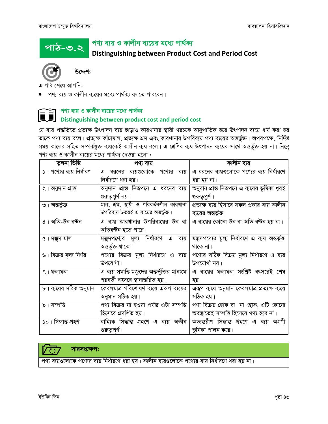<u>পাঠ-৩.২</u>

# পণ্য ব্যয় ও কালীন ব্যয়ের মধ্যে পার্থক্য





উদ্দেশ্য

এ পাঠ শেষে আপনি-

পণ্য ব্যয় ও কালীন ব্যয়ের মধ্যে পার্থক্য বলতে পারবেন।

#### পণ্য ব্যয় ও কালীন ব্যয়ের মধ্যে পার্থক্য II Distinguishing between product cost and period cost

যে ব্যয় পদ্ধতিতে প্রত্যক্ষ উৎপাদন ব্যয় ছাড়াও কারখানার স্থায়ী খরচকে আনুপাতিক হরে উৎপাদন ব্যয়ে ধার্য করা হয় তাকে পণ্য ব্যয় বলে। প্রত্যক্ষ কাঁচামাল, প্রত্যক্ষ শ্রম এবং কারখানার উপরিব্যয় পণ্য ব্যয়ের অন্তর্ভুক্ত। অপরপক্ষে, নির্দিষ্ট সময় কালের সহিত সম্পর্কযুক্ত ব্যয়কেই কালীন ব্যয় বলে। এ শ্রেণির ব্যয় উৎপাদন ব্যয়ের সাথে অন্তর্ভুক্ত হয় না। নিম্নে পণ্য ব্যয় ও কালীন ব্যয়ের মধ্যে পার্থক্য দেওয়া হলো :

| তুলনা ভিত্তি             | পণ্য ব্যয়                                   | কালীন ব্যয়                                    |
|--------------------------|----------------------------------------------|------------------------------------------------|
| ১। পণ্যের ব্যয় নির্ধারণ | এ ধরনের ব্যয়গুলোকে পণ্যের ব্যয়             | এ ধরনের ব্যয়গুলোকে পণ্যের ব্যয় নির্ধারণে     |
|                          | নিৰ্ধারণে ধরা হয়।                           | ধরা হয় না।                                    |
| ২। অনুদান প্ৰান্ত        | অনুদান প্রান্ত নিরূপনে এ ধরনের ব্যয়         | অনুদান প্রান্ত নিরূপনে এ ব্যয়ের ভূমিকা খুবই   |
|                          | গুরুতুপূর্ণ নয়।                             | গুরুতুপূর্ণ।                                   |
| ৩। অন্তর্ভুক্ত           | মাল, শ্রম, স্থায়ী ও পরিবর্তনশীল কারখানা     | প্রত্যক্ষ ব্যয় হিসাবে সকল প্রকার ব্যয় কালীন  |
|                          | উপরিব্যয় উভয়ই এ ব্যয়ের অন্তর্ভুক্ত।       | ব্যয়ের <b>অন্তর্ভু</b> ক্ত।                   |
| ৪। অতি-উন বণ্টন          | এ ব্যয় কারখানার উপরিব্যয়ের উন বা           | এ ব্যয়ের কোনো উন বা অতি বণ্টন হয় না।         |
|                          | অতিবণ্টন হতে পারে।                           |                                                |
| ৫। মজুদ মাল              | মজুদপণে্যর মূল্য নির্ধারণে এ<br>ব্যয়        | মজুদপণ্যের মূল্য নির্ধারণে এ ব্যয় অন্তর্ভুক্ত |
|                          | অন্তৰ্ভুক্ত থাকে।                            | থাকে না।                                       |
| ৬। বিক্রয় মূল্য নির্ণয় | পণ্যের বিক্রয় মূল্য নির্ধারণে এ ব্যয়       | পণ্যের সঠিক বিক্রয় মূল্য নির্ধারণে এ ব্যয়    |
|                          | উপযোগী।                                      | উপযোগী নয়।                                    |
| ৭ ৷ ফলাফল                | এ ব্যয় সমাপ্তি মজুদের অন্তর্ভুক্তির মাধ্যমে | এ ব্যয়ের ফলাফল সংশ্লিষ্ট বৎসরেই শেষ           |
|                          | পরবর্তী বৎসরে স্থানান্তরিত হয়।              | হয়।                                           |
| ৮। ব্যয়ের সঠিক অনুমান   | কেবলমাত্র পরিশোষণ ব্যয়ে এরূপ ব্যয়ের        | এরূপ ব্যয়ে অনুমান কেবলমাত্র প্রত্যক্ষ ব্যয়ে  |
|                          | অনুমান সঠিক হয়।                             | সঠিক হয়।                                      |
| ৯। সম্পত্তি              | পণ্য বিক্রয় না হওয়া পর্যন্ত এটা সম্পত্তি   | পণ্য বিক্রয় হোক বা  না হোক, এটি কোনো          |
|                          | হিসেবে প্রদর্শিত হয়।                        | অবস্থাতেই সম্পত্তি হিসেবে গণ্য হবে না।         |
| ১০। সিদ্ধান্ত গ্ৰহণ      | বাহ্যিক সিদ্ধান্ত গ্ৰহণে এ ব্যয় অতীব        | অভ্যন্তরীণ সিদ্ধান্ত গ্রহণে এ ব্যয় অগ্রণী     |
|                          | গুরুতুপূর্ণ।                                 | ভূমিকা পালন করে।                               |

# সারসংক্ষেপ:

পণ্য ব্যয়গুলোকে পণ্যের ব্যয় নির্ধারণে ধরা হয়। কালীন ব্যয়গুলোকে পণ্যের ব্যয় নির্ধারণে ধরা হয় না।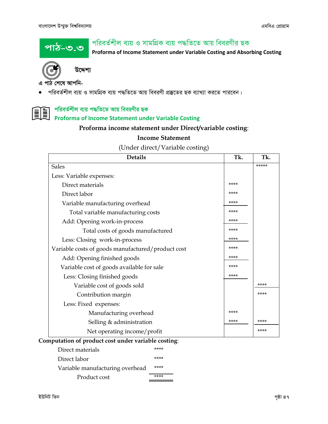পাঠ-৩.৩

# পরিবর্তশীল ব্যয় ও সামগ্রিক ব্যয় পদ্ধতিতে আয় বিবরণীর ছক

Proforma of Income Statement under Variable Costing and Absorbing Costing



উদ্দেশ্য

এ পাঠ শেষে আপনি-

পরিবর্তশীল ব্যয় ও সামগ্রিক ব্যয় পদ্ধতিতে আয় বিবরণী প্রস্তুতের ছক ব্যাখ্যা করতে পারবেন।  $\bullet$ 

# পরিবর্তশীল ব্যয় পদ্ধাততে আর সমসকলে ২১<br>Proforma of Income Statement under Variable Costing পরিবর্তশীল ব্যয় পদ্ধতিতে আয় বিবরণীর ছক

# Proforma income statement under Direct/variable costing:

# **Income Statement**

(Under direct/Variable costing)

| <b>Details</b>                                    | Tk.  | Tk.   |
|---------------------------------------------------|------|-------|
| <b>Sales</b>                                      |      | ***** |
| Less: Variable expenses:                          |      |       |
| Direct materials                                  | **** |       |
| Direct labor                                      | **** |       |
| Variable manufacturing overhead                   | **** |       |
| Total variable manufacturing costs                | **** |       |
| Add: Opening work-in-process                      | **** |       |
| Total costs of goods manufactured                 | **** |       |
| Less: Closing work-in-process                     | **** |       |
| Variable costs of goods manufactured/product cost | **** |       |
| Add: Opening finished goods                       | **** |       |
| Variable cost of goods available for sale         | **** |       |
| Less: Closing finished goods                      | **** |       |
| Variable cost of goods sold                       |      | ****  |
| Contribution margin                               |      | ****  |
| Less: Fixed expenses:                             |      |       |
| Manufacturing overhead                            | **** |       |
| Selling $&$ administration                        | **** | ****  |
| Net operating income/profit                       |      | ****  |
| mputation of product cost under variable costing: |      |       |

#### Comp  $\mathbf{u}$  or  $\mathbf{r}$ Ъ

| Direct materials                | **** |
|---------------------------------|------|
| Direct labor                    | **** |
| Variable manufacturing overhead | **** |
| Product cost                    | **** |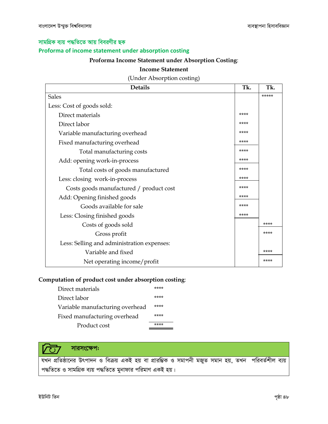# সামগ্রিক ব্যয় পদ্ধতিতে আয় বিবরণীর ছক Proforma of income statement under absorption costing Proforma Income Statement under Absorption Costing:

#### **Income Statement**

(Under Absorption costing)

| <b>Details</b>                             | Tk.  | Tk.   |
|--------------------------------------------|------|-------|
| <b>Sales</b>                               |      | ***** |
| Less: Cost of goods sold:                  |      |       |
| Direct materials                           | **** |       |
| Direct labor                               | **** |       |
| Variable manufacturing overhead            | **** |       |
| Fixed manufacturing overhead               | **** |       |
| Total manufacturing costs                  | **** |       |
| Add: opening work-in-process               | **** |       |
| Total costs of goods manufactured          | **** |       |
| Less: closing work-in-process              | **** |       |
| Costs goods manufactured / product cost    | **** |       |
| Add: Opening finished goods                | **** |       |
| Goods available for sale                   | **** |       |
| Less: Closing finished goods               | **** |       |
| Costs of goods sold                        |      | ****  |
| Gross profit                               |      | ****  |
| Less: Selling and administration expenses: |      |       |
| Variable and fixed                         |      | ****  |
| Net operating income/profit                |      | ****  |

### Computation of product cost under absorption costing:

| Direct materials                | **** |
|---------------------------------|------|
| Direct labor                    | **** |
| Variable manufacturing overhead | **** |
| Fixed manufacturing overhead    | **** |
| Product cost                    |      |

#### সারসংক্ষেপ:  $\overline{C}$

যখন প্রতিষ্ঠানের উৎপাদন ও বিক্রয় একই হয় বা প্রারম্ভিক ও সমাপনী মজুত সমান হয়, তখন পরিবর্তশীল ব্যয় পদ্ধতিতে ও সামগ্রিক ব্যয় পদ্ধতিতে মুনাফার পরিমাণ একই হয়।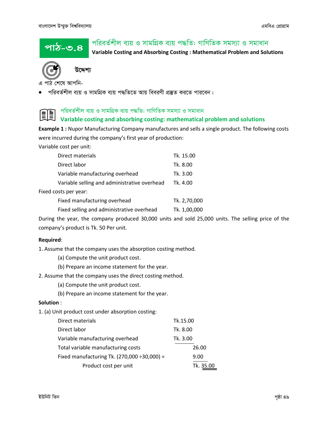<u>পাঠ-৩.৪</u>

# পরিবর্তশীল ব্যয় ও সামগ্রিক ব্যয় পদ্ধতি: গাণিতিক সমস্যা ও সমাধান

Variable Costing and Absorbing Costing : Mathematical Problem and Solutions



উদ্দেশ্য

এ পাঠ শেষে আপনি-

<u>পরিবর্তশীল ব্যয় ও সামগ্রিক ব্যয় পদ্ধতিতে আয় বিবরণী প্রস্তুত করতে পারবেন।</u>



# Example 1 : Nupor Manufacturing Company manufactures and sells a single product. The following costs

were incurred during the company's first year of production:

Variable cost per unit:

| Direct materials                             | Tk. 15.00    |
|----------------------------------------------|--------------|
| Direct labor                                 | Tk. 8.00     |
| Variable manufacturing overhead              | Tk. 3.00     |
| Variable selling and administrative overhead | Tk. 4.00     |
| Fixed costs per year:                        |              |
| Fixed manufacturing overhead                 | Tk. 2,70,000 |
| Fixed selling and administrative overhead    | Tk. 1,00,000 |

During the year, the company produced 30,000 units and sold 25,000 units. The selling price of the company's product is Tk. 50 Per unit.

#### Required:

1. Assume that the company uses the absorption costing method.

- (a) Compute the unit product cost.
- (b) Prepare an income statement for the year.
- 2. Assume that the company uses the direct costing method.
	- (a) Compute the unit product cost.
	- (b) Prepare an income statement for the year.

#### Solution :

1. (a) Unit product cost under absorption costing:

| Direct materials                                  | Tk.15.00  |
|---------------------------------------------------|-----------|
| Direct labor                                      | Tk. 8.00  |
| Variable manufacturing overhead                   | Tk. 3.00  |
| Total variable manufacturing costs                | 26.00     |
| Fixed manufacturing Tk. $(270,000 \div 30,000) =$ | 9.00      |
| Product cost per unit                             | Tk. 35.00 |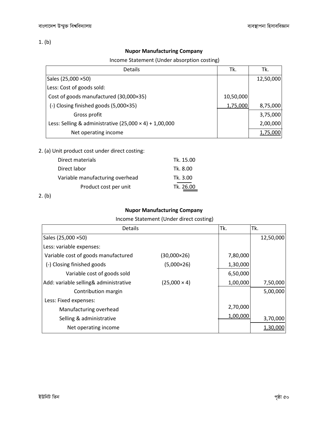1. (b)

### Nupor Manufacturing Company

Income Statement (Under absorption costing)

| Details                                                       | Tk.       | Tk.       |
|---------------------------------------------------------------|-----------|-----------|
| Sales (25,000 ×50)                                            |           | 12,50,000 |
| Less: Cost of goods sold:                                     |           |           |
| Cost of goods manufactured (30,000×35)                        | 10,50,000 |           |
| (-) Closing finished goods (5,000×35)                         | 1,75,000  | 8,75,000  |
| Gross profit                                                  |           | 3,75,000  |
| Less: Selling & administrative $(25,000 \times 4) + 1,00,000$ |           | 2,00,000  |
| Net operating income                                          |           | 1.75.000  |

2. (a) Unit product cost under direct costing:

| Direct materials                | Tk. 15.00 |
|---------------------------------|-----------|
| Direct labor                    | Tk. 8.00  |
| Variable manufacturing overhead | Tk. 3.00  |
| Product cost per unit           | Tk. 26.00 |
|                                 |           |

2. (b)

# Nupor Manufacturing Company

Income Statement (Under direct costing)

| Details                               |                     | Tk.      | Tk.       |
|---------------------------------------|---------------------|----------|-----------|
| Sales (25,000 ×50)                    |                     |          | 12,50,000 |
| Less: variable expenses:              |                     |          |           |
| Variable cost of goods manufactured   | (30,000×26)         | 7,80,000 |           |
| (-) Closing finished goods            | $(5,000\times26)$   | 1,30,000 |           |
| Variable cost of goods sold           |                     | 6,50,000 |           |
| Add: variable selling& administrative | $(25,000 \times 4)$ | 1,00,000 | 7,50,000  |
| Contribution margin                   |                     |          | 5,00,000  |
| Less: Fixed expenses:                 |                     |          |           |
| Manufacturing overhead                |                     | 2,70,000 |           |
| Selling & administrative              |                     | 1,00,000 | 3,70,000  |
| Net operating income                  |                     |          | 1.30.000  |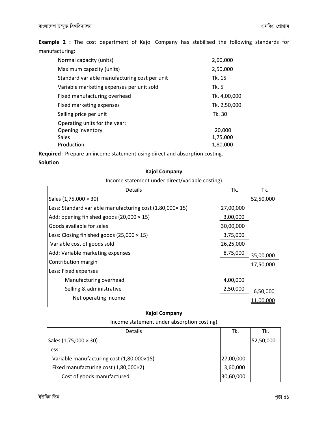Example 2 : The cost department of Kajol Company has stabilised the following standards for manufacturing:

| Normal capacity (units)                       | 2,00,000     |
|-----------------------------------------------|--------------|
| Maximum capacity (units)                      | 2,50,000     |
| Standard variable manufacturing cost per unit | Tk. 15       |
| Variable marketing expenses per unit sold     | Tk. 5        |
| Fixed manufacturing overhead                  | Tk. 4,00,000 |
| Fixed marketing expenses                      | Tk. 2,50,000 |
| Selling price per unit                        | Tk. 30       |
| Operating units for the year:                 |              |
| Opening inventory                             | 20,000       |
| Sales                                         | 1,75,000     |
| Production                                    | 1,80,000     |

Required : Prepare an income statement using direct and absorption costing.

#### Solution :

#### Kajol Company

Income statement under direct/variable costing)

| <b>Details</b>                                           | Tk.       | Tk.       |
|----------------------------------------------------------|-----------|-----------|
| Sales (1,75,000 × 30)                                    |           | 52,50,000 |
| Less: Standard variable manufacturing cost (1,80,000×15) | 27,00,000 |           |
| Add: opening finished goods (20,000 $\times$ 15)         | 3,00,000  |           |
| Goods available for sales                                | 30,00,000 |           |
| Less: Closing finished goods $(25,000 \times 15)$        | 3,75,000  |           |
| Variable cost of goods sold                              | 26,25,000 |           |
| Add: Variable marketing expenses                         | 8,75,000  | 35,00,000 |
| Contribution margin                                      |           | 17,50,000 |
| Less: Fixed expenses                                     |           |           |
| Manufacturing overhead                                   | 4,00,000  |           |
| Selling & administrative                                 | 2,50,000  | 6,50,000  |
| Net operating income                                     |           | 11.00.000 |

### Kajol Company

#### Income statement under absorption costing)

| <b>Details</b>                            | Tk.       | Tk.        |
|-------------------------------------------|-----------|------------|
| Sales (1,75,000 × 30)                     |           | 152,50,000 |
| lLess:                                    |           |            |
| Variable manufacturing cost (1,80,000×15) | 27,00,000 |            |
| Fixed manufacturing cost (1,80,000×2)     | 3,60,000  |            |
| Cost of goods manufactured                | 30,60,000 |            |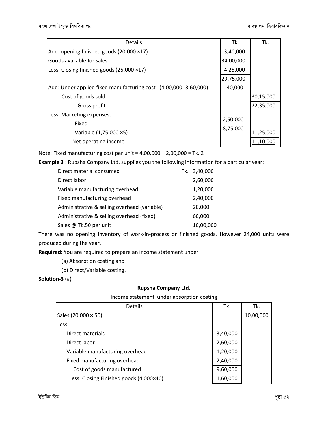| <b>Details</b>                                                   | Tk.       | Tk.       |
|------------------------------------------------------------------|-----------|-----------|
| Add: opening finished goods $(20,000 \times 17)$                 | 3,40,000  |           |
| Goods available for sales                                        | 34,00,000 |           |
| Less: Closing finished goods $(25,000 \times 17)$                | 4,25,000  |           |
|                                                                  | 29,75,000 |           |
| Add: Under applied fixed manufacturing cost (4,00,000 -3,60,000) | 40,000    |           |
| Cost of goods sold                                               |           | 30,15,000 |
| Gross profit                                                     |           | 22,35,000 |
| Less: Marketing expenses:                                        |           |           |
| Fixed                                                            | 2,50,000  |           |
| Variable (1,75,000 ×5)                                           | 8,75,000  | 11,25,000 |
| Net operating income                                             |           | 11.10.000 |

Note: Fixed manufacturing cost per unit =  $4,00,000 \div 2,00,000 =$  Tk. 2

Example 3 : Rupsha Company Ltd. supplies you the following information for a particular year:

| Direct material consumed                     | Tk. 3,40,000 |
|----------------------------------------------|--------------|
| Direct labor                                 | 2,60,000     |
| Variable manufacturing overhead              | 1,20,000     |
| Fixed manufacturing overhead                 | 2,40,000     |
| Administrative & selling overhead (variable) | 20,000       |
| Administrative & selling overhead (fixed)    | 60,000       |
| Sales @ Tk.50 per unit                       | 10,00,000    |

There was no opening inventory of work-in-process or finished goods. However 24,000 units were produced during the year.

Required: You are required to prepare an income statement under

- (a) Absorption costing and
- (b) Direct/Variable costing.

#### Solution-3 (a)

#### Rupsha Company Ltd.

Income statement under absorption costing

| <b>Details</b>                          | Tk.      | Tk.       |
|-----------------------------------------|----------|-----------|
| Sales (20,000 × 50)                     |          | 10,00,000 |
| Less:                                   |          |           |
| Direct materials                        | 3,40,000 |           |
| Direct labor                            | 2,60,000 |           |
| Variable manufacturing overhead         | 1,20,000 |           |
| Fixed manufacturing overhead            | 2,40,000 |           |
| Cost of goods manufactured              | 9,60,000 |           |
| Less: Closing Finished goods (4,000×40) | 1,60,000 |           |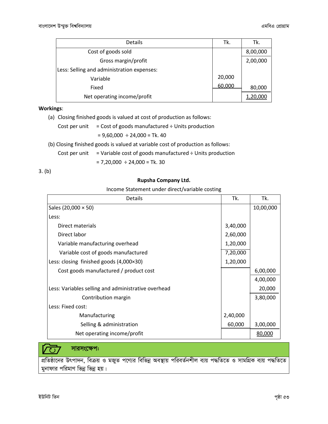| <b>Details</b>                             | Tk.    | Tk.      |
|--------------------------------------------|--------|----------|
| Cost of goods sold                         |        | 8,00,000 |
| Gross margin/profit                        |        | 2,00,000 |
| Less: Selling and administration expenses: |        |          |
| Variable                                   | 20,000 |          |
| Fixed                                      | 60,000 | 80,000   |
| Net operating income/profit                |        |          |

Workings:

(a) Closing finished goods is valued at cost of production as follows:

Cost per unit 
$$
=
$$
 Cost of goods manufactured  $\div$  Units production

 $= 9,60,000 \div 24,000 =$ Tk. 40

- (b) Closing finished goods is valued at variable cost of production as follows:
	- Cost per unit  $=$  Variable cost of goods manufactured  $\div$  Units production

$$
= 7,20,000 \div 24,000 = \text{Tk. } 30
$$

3. (b)

#### Rupsha Company Ltd.

Income Statement under direct/variable costing

| <b>Details</b>                                      | Tk.      | Tk.       |
|-----------------------------------------------------|----------|-----------|
| Sales (20,000 $\times$ 50)                          |          | 10,00,000 |
| Less:                                               |          |           |
| Direct materials                                    | 3,40,000 |           |
| Direct labor                                        | 2,60,000 |           |
| Variable manufacturing overhead                     | 1,20,000 |           |
| Variable cost of goods manufactured                 | 7,20,000 |           |
| Less: closing finished goods $(4,000\times30)$      | 1,20,000 |           |
| Cost goods manufactured / product cost              |          | 6,00,000  |
|                                                     |          | 4,00,000  |
| Less: Variables selling and administrative overhead |          | 20,000    |
| Contribution margin                                 |          | 3,80,000  |
| Less: Fixed cost:                                   |          |           |
| Manufacturing                                       | 2,40,000 |           |
| Selling & administration                            | 60,000   | 3,00,000  |
| Net operating income/profit                         |          | 80,000    |

সারসংক্ষেপ:

<u>প্রতিষ্ঠানের উৎপাদন, বিক্রয় ও মজুত পণ্যের বিভিন্ন অবস্থায় পরিবর্তনশীল ব্যয় পদ্ধতিতে ও সামগ্রিক ব্যয় পদ্ধতিতে</u> মুনাফার পরিমাণ ভিন্ন ভিন্ন হয়।

 $\overline{\mathcal{C}}$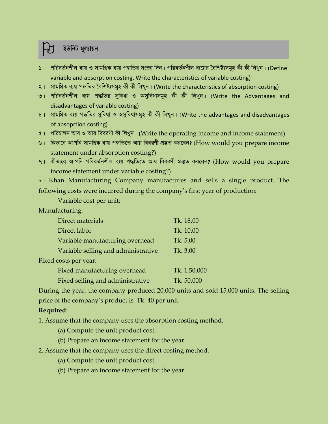# ইউনিট মূল্যায়ন

- $\mathsf{S}$ । পরিবর্তনশীল ব্যয় ও সামগ্রিক ব্যয় পদ্ধতির সংজ্ঞা দিন। পরিবর্তনশীল ব্যয়ের বৈশিষ্ট্যসমূহ কী কী লিখুন। (Define variable and absorption costing. Write the characteristics of variable costing)
- ২। সামগ্রিক ব্যয় পদ্ধতির বৈশিষ্ট্যসমূহ কী কী লিখুন। (Write the characteristics of absorption costing)
- ৩। পরিবর্তনশীল ব্যয় পদ্ধতির সুবিধা ও অসুবিধাসমূহ কী কী লিখুন। (Write the Advantages and disadvantages of variable costing)
- $8$ । সামগ্রিক ব্যয় পদ্ধতির সুবিধা ও অসুবিধাসমূহ কী কী লিখুন। (Write the advantages and disadvantages of absoprtion costing)
- ৫। পরিচালন আয় ও আয় বিবরণী কী লিখুন। (Write the operating income and income statement)
- ৬। কিভাবে আপনি সামগ্রিক ব্যয় পদ্ধতিতে আয় বিবরণী প্রস্তুত করবেন? (How would you prepare income statement under absorption costing?)
- ৭। কীভাবে আপনি পরিবর্তনশীল ব্যয় পদ্ধতিতে আয় বিবরণী প্রস্তুত করবেন? (How would you prepare income statement under variable costing?)

 **Khan Manufacturing Company manufactures and sells a single product. The** following costs were incurred during the company's first year of production:

Variable cost per unit:

Manufacturing:

| Direct materials                    | Tk. 18.00    |
|-------------------------------------|--------------|
| Direct labor                        | Tk. 10.00    |
| Variable manufacturing overhead     | Tk. 5.00     |
| Variable selling and administrative | Tk. 3.00     |
| Fixed costs per year:               |              |
| Fixed manufacturing overhead        | Tk. 1,50,000 |
| Fixed selling and administrative    | Tk. 50,000   |

During the year, the company produced 20,000 units and sold 15,000 units. The selling price of the company's product is Tk. 40 per unit.

## Required:

1. Assume that the company uses the absorption costing method.

- (a) Compute the unit product cost.
- (b) Prepare an income statement for the year.
- 2. Assume that the company uses the direct costing method.
	- (a) Compute the unit product cost.
	- (b) Prepare an income statement for the year.